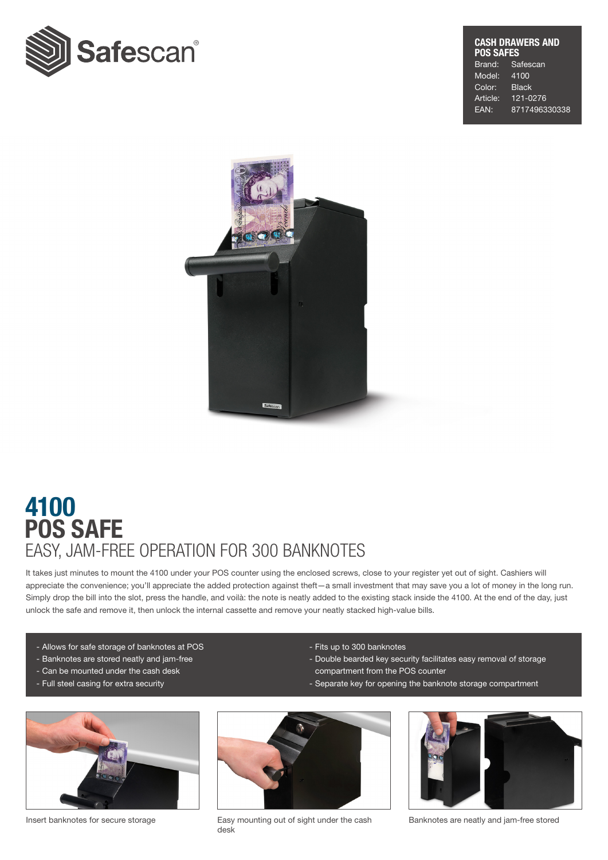

## CASH DRAWERS AND **POS SAFES**<br>Brand: Sa Safescan

Model: 4100 Color: Black Article: 121-0276 EAN: 8717496330338



## POS SAFE 4100 EASY, JAM-FREE OPERATION FOR 300 BANKNOTES

It takes just minutes to mount the 4100 under your POS counter using the enclosed screws, close to your register yet out of sight. Cashiers will appreciate the convenience; you'll appreciate the added protection against theft—a small investment that may save you a lot of money in the long run. Simply drop the bill into the slot, press the handle, and voilà: the note is neatly added to the existing stack inside the 4100. At the end of the day, just unlock the safe and remove it, then unlock the internal cassette and remove your neatly stacked high-value bills.

- Allows for safe storage of banknotes at POS
- Banknotes are stored neatly and jam-free
- Can be mounted under the cash desk
- Full steel casing for extra security
- Fits up to 300 banknotes
- Double bearded key security facilitates easy removal of storage compartment from the POS counter
- Separate key for opening the banknote storage compartment





Insert banknotes for secure storage Easy mounting out of sight under the cash desk



Banknotes are neatly and jam-free stored